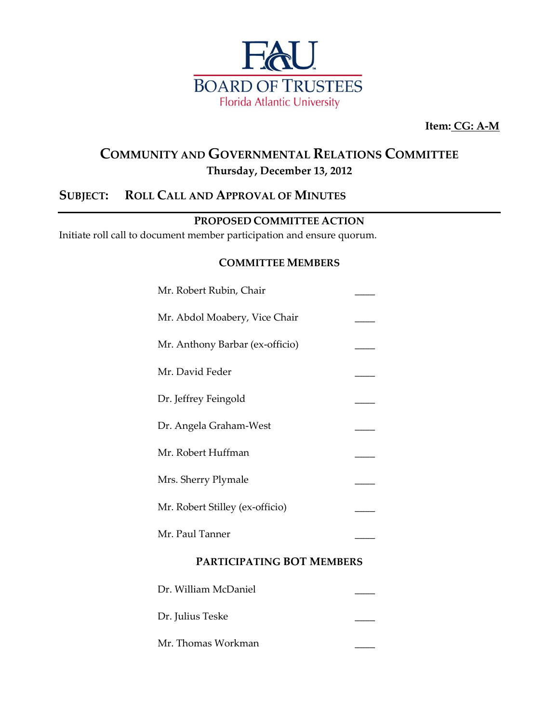

**Item: CG: A-M**

## **COMMUNITY AND GOVERNMENTAL RELATIONS COMMITTEE Thursday, December 13, 2012**

## **SUBJECT: ROLL CALL AND APPROVAL OF MINUTES**

#### **PROPOSED COMMITTEE ACTION**

Initiate roll call to document member participation and ensure quorum.

#### **COMMITTEE MEMBERS**

| Mr. Robert Rubin, Chair          |  |  |
|----------------------------------|--|--|
| Mr. Abdol Moabery, Vice Chair    |  |  |
| Mr. Anthony Barbar (ex-officio)  |  |  |
| Mr. David Feder                  |  |  |
| Dr. Jeffrey Feingold             |  |  |
| Dr. Angela Graham-West           |  |  |
| Mr. Robert Huffman               |  |  |
| Mrs. Sherry Plymale              |  |  |
| Mr. Robert Stilley (ex-officio)  |  |  |
| Mr. Paul Tanner                  |  |  |
| <b>PARTICIPATING BOT MEMBERS</b> |  |  |

| Dr. William McDaniel |  |
|----------------------|--|
| Dr. Julius Teske     |  |
| Mr. Thomas Workman   |  |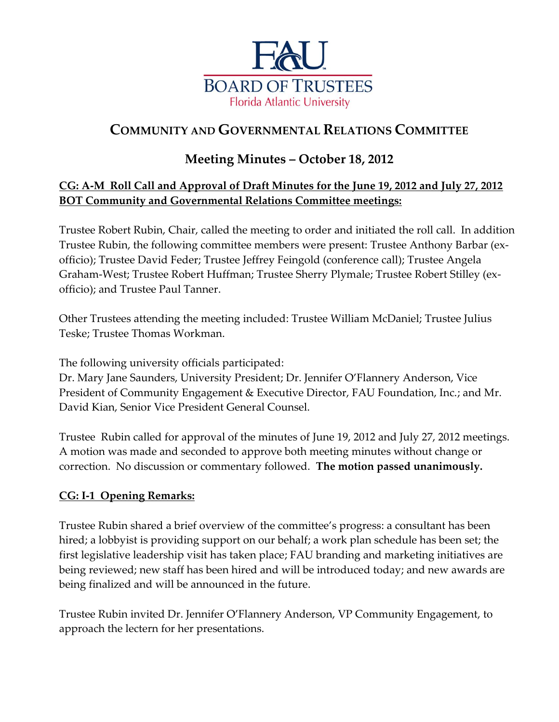

# **COMMUNITY AND GOVERNMENTAL RELATIONS COMMITTEE**

## **Meeting Minutes – October 18, 2012**

## **CG: A-M Roll Call and Approval of Draft Minutes for the June 19, 2012 and July 27, 2012 BOT Community and Governmental Relations Committee meetings:**

Trustee Robert Rubin, Chair, called the meeting to order and initiated the roll call. In addition Trustee Rubin, the following committee members were present: Trustee Anthony Barbar (exofficio); Trustee David Feder; Trustee Jeffrey Feingold (conference call); Trustee Angela Graham-West; Trustee Robert Huffman; Trustee Sherry Plymale; Trustee Robert Stilley (exofficio); and Trustee Paul Tanner.

Other Trustees attending the meeting included: Trustee William McDaniel; Trustee Julius Teske; Trustee Thomas Workman.

The following university officials participated:

Dr. Mary Jane Saunders, University President; Dr. Jennifer O'Flannery Anderson, Vice President of Community Engagement & Executive Director, FAU Foundation, Inc.; and Mr. David Kian, Senior Vice President General Counsel.

Trustee Rubin called for approval of the minutes of June 19, 2012 and July 27, 2012 meetings. A motion was made and seconded to approve both meeting minutes without change or correction. No discussion or commentary followed. **The motion passed unanimously.**

## **CG: I-1 Opening Remarks:**

Trustee Rubin shared a brief overview of the committee's progress: a consultant has been hired; a lobbyist is providing support on our behalf; a work plan schedule has been set; the first legislative leadership visit has taken place; FAU branding and marketing initiatives are being reviewed; new staff has been hired and will be introduced today; and new awards are being finalized and will be announced in the future.

Trustee Rubin invited Dr. Jennifer O'Flannery Anderson, VP Community Engagement, to approach the lectern for her presentations.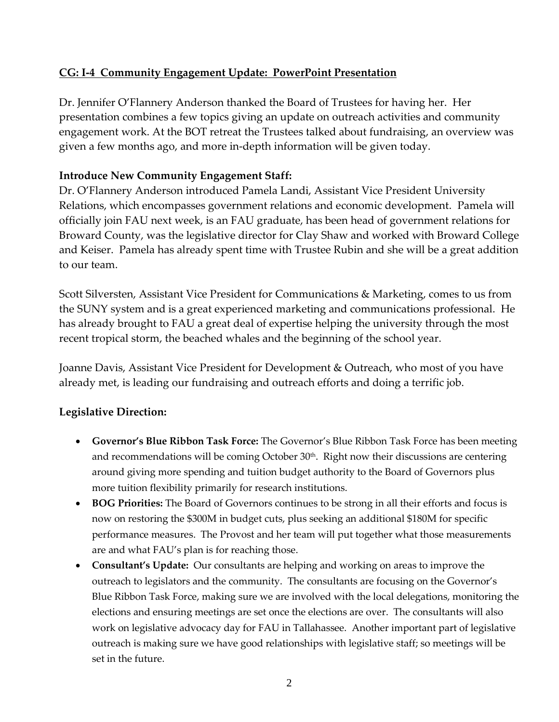## **CG: I-4 Community Engagement Update: PowerPoint Presentation**

Dr. Jennifer O'Flannery Anderson thanked the Board of Trustees for having her. Her presentation combines a few topics giving an update on outreach activities and community engagement work. At the BOT retreat the Trustees talked about fundraising, an overview was given a few months ago, and more in-depth information will be given today.

### **Introduce New Community Engagement Staff:**

Dr. O'Flannery Anderson introduced Pamela Landi, Assistant Vice President University Relations, which encompasses government relations and economic development. Pamela will officially join FAU next week, is an FAU graduate, has been head of government relations for Broward County, was the legislative director for Clay Shaw and worked with Broward College and Keiser. Pamela has already spent time with Trustee Rubin and she will be a great addition to our team.

Scott Silversten, Assistant Vice President for Communications & Marketing, comes to us from the SUNY system and is a great experienced marketing and communications professional. He has already brought to FAU a great deal of expertise helping the university through the most recent tropical storm, the beached whales and the beginning of the school year.

Joanne Davis, Assistant Vice President for Development & Outreach, who most of you have already met, is leading our fundraising and outreach efforts and doing a terrific job.

#### **Legislative Direction:**

- **Governor's Blue Ribbon Task Force:** The Governor's Blue Ribbon Task Force has been meeting and recommendations will be coming October 30<sup>th</sup>. Right now their discussions are centering around giving more spending and tuition budget authority to the Board of Governors plus more tuition flexibility primarily for research institutions.
- **BOG Priorities:** The Board of Governors continues to be strong in all their efforts and focus is now on restoring the \$300M in budget cuts, plus seeking an additional \$180M for specific performance measures. The Provost and her team will put together what those measurements are and what FAU's plan is for reaching those.
- **Consultant's Update:** Our consultants are helping and working on areas to improve the outreach to legislators and the community. The consultants are focusing on the Governor's Blue Ribbon Task Force, making sure we are involved with the local delegations, monitoring the elections and ensuring meetings are set once the elections are over. The consultants will also work on legislative advocacy day for FAU in Tallahassee. Another important part of legislative outreach is making sure we have good relationships with legislative staff; so meetings will be set in the future.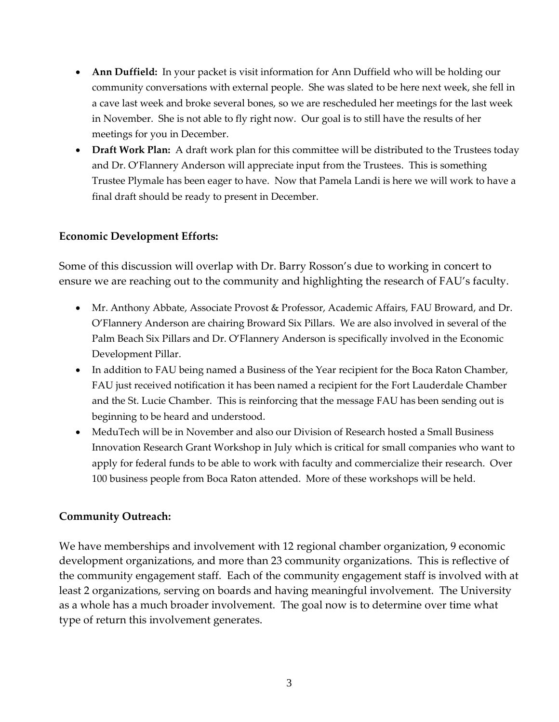- **Ann Duffield:** In your packet is visit information for Ann Duffield who will be holding our community conversations with external people. She was slated to be here next week, she fell in a cave last week and broke several bones, so we are rescheduled her meetings for the last week in November. She is not able to fly right now. Our goal is to still have the results of her meetings for you in December.
- **Draft Work Plan:** A draft work plan for this committee will be distributed to the Trustees today and Dr. O'Flannery Anderson will appreciate input from the Trustees. This is something Trustee Plymale has been eager to have. Now that Pamela Landi is here we will work to have a final draft should be ready to present in December.

#### **Economic Development Efforts:**

Some of this discussion will overlap with Dr. Barry Rosson's due to working in concert to ensure we are reaching out to the community and highlighting the research of FAU's faculty.

- Mr. Anthony Abbate, Associate Provost & Professor, Academic Affairs, FAU Broward, and Dr. O'Flannery Anderson are chairing Broward Six Pillars. We are also involved in several of the Palm Beach Six Pillars and Dr. O'Flannery Anderson is specifically involved in the Economic Development Pillar.
- In addition to FAU being named a Business of the Year recipient for the Boca Raton Chamber, FAU just received notification it has been named a recipient for the Fort Lauderdale Chamber and the St. Lucie Chamber. This is reinforcing that the message FAU has been sending out is beginning to be heard and understood.
- MeduTech will be in November and also our Division of Research hosted a Small Business Innovation Research Grant Workshop in July which is critical for small companies who want to apply for federal funds to be able to work with faculty and commercialize their research. Over 100 business people from Boca Raton attended. More of these workshops will be held.

#### **Community Outreach:**

We have memberships and involvement with 12 regional chamber organization, 9 economic development organizations, and more than 23 community organizations. This is reflective of the community engagement staff. Each of the community engagement staff is involved with at least 2 organizations, serving on boards and having meaningful involvement. The University as a whole has a much broader involvement. The goal now is to determine over time what type of return this involvement generates.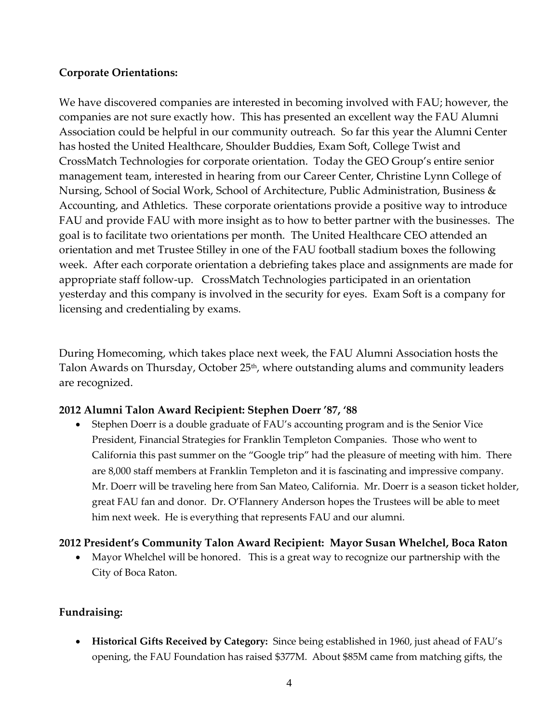#### **Corporate Orientations:**

We have discovered companies are interested in becoming involved with FAU; however, the companies are not sure exactly how. This has presented an excellent way the FAU Alumni Association could be helpful in our community outreach. So far this year the Alumni Center has hosted the United Healthcare, Shoulder Buddies, Exam Soft, College Twist and CrossMatch Technologies for corporate orientation. Today the GEO Group's entire senior management team, interested in hearing from our Career Center, Christine Lynn College of Nursing, School of Social Work, School of Architecture, Public Administration, Business & Accounting, and Athletics. These corporate orientations provide a positive way to introduce FAU and provide FAU with more insight as to how to better partner with the businesses. The goal is to facilitate two orientations per month. The United Healthcare CEO attended an orientation and met Trustee Stilley in one of the FAU football stadium boxes the following week. After each corporate orientation a debriefing takes place and assignments are made for appropriate staff follow-up. CrossMatch Technologies participated in an orientation yesterday and this company is involved in the security for eyes. Exam Soft is a company for licensing and credentialing by exams.

During Homecoming, which takes place next week, the FAU Alumni Association hosts the Talon Awards on Thursday, October 25<sup>th</sup>, where outstanding alums and community leaders are recognized.

#### **2012 Alumni Talon Award Recipient: Stephen Doerr '87, '88**

 Stephen Doerr is a double graduate of FAU's accounting program and is the Senior Vice President, Financial Strategies for Franklin Templeton Companies. Those who went to California this past summer on the "Google trip" had the pleasure of meeting with him. There are 8,000 staff members at Franklin Templeton and it is fascinating and impressive company. Mr. Doerr will be traveling here from San Mateo, California. Mr. Doerr is a season ticket holder, great FAU fan and donor. Dr. O'Flannery Anderson hopes the Trustees will be able to meet him next week. He is everything that represents FAU and our alumni.

#### **2012 President's Community Talon Award Recipient: Mayor Susan Whelchel, Boca Raton**

 Mayor Whelchel will be honored. This is a great way to recognize our partnership with the City of Boca Raton.

## **Fundraising:**

 **Historical Gifts Received by Category:** Since being established in 1960, just ahead of FAU's opening, the FAU Foundation has raised \$377M. About \$85M came from matching gifts, the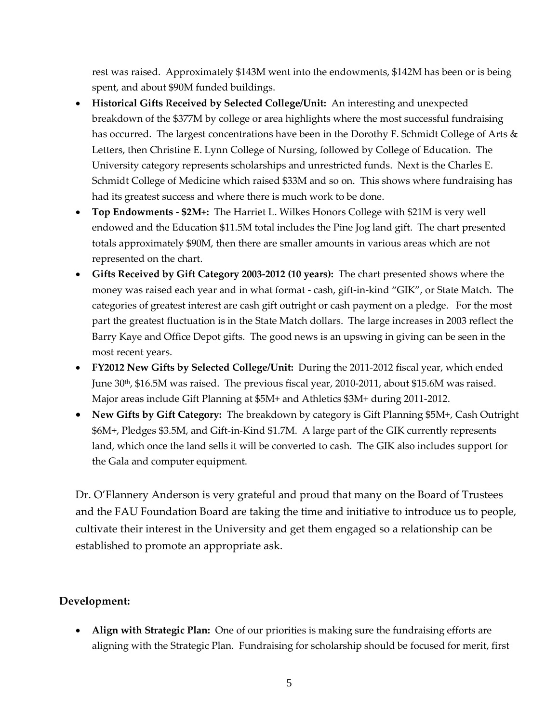rest was raised. Approximately \$143M went into the endowments, \$142M has been or is being spent, and about \$90M funded buildings.

- **Historical Gifts Received by Selected College/Unit:** An interesting and unexpected breakdown of the \$377M by college or area highlights where the most successful fundraising has occurred. The largest concentrations have been in the Dorothy F. Schmidt College of Arts & Letters, then Christine E. Lynn College of Nursing, followed by College of Education. The University category represents scholarships and unrestricted funds. Next is the Charles E. Schmidt College of Medicine which raised \$33M and so on. This shows where fundraising has had its greatest success and where there is much work to be done.
- **Top Endowments - \$2M+:** The Harriet L. Wilkes Honors College with \$21M is very well endowed and the Education \$11.5M total includes the Pine Jog land gift. The chart presented totals approximately \$90M, then there are smaller amounts in various areas which are not represented on the chart.
- **Gifts Received by Gift Category 2003-2012 (10 years):** The chart presented shows where the money was raised each year and in what format - cash, gift-in-kind "GIK", or State Match. The categories of greatest interest are cash gift outright or cash payment on a pledge. For the most part the greatest fluctuation is in the State Match dollars. The large increases in 2003 reflect the Barry Kaye and Office Depot gifts. The good news is an upswing in giving can be seen in the most recent years.
- **FY2012 New Gifts by Selected College/Unit:** During the 2011-2012 fiscal year, which ended June 30th, \$16.5M was raised. The previous fiscal year, 2010-2011, about \$15.6M was raised. Major areas include Gift Planning at \$5M+ and Athletics \$3M+ during 2011-2012.
- **New Gifts by Gift Category:** The breakdown by category is Gift Planning \$5M+, Cash Outright \$6M+, Pledges \$3.5M, and Gift-in-Kind \$1.7M. A large part of the GIK currently represents land, which once the land sells it will be converted to cash. The GIK also includes support for the Gala and computer equipment.

Dr. O'Flannery Anderson is very grateful and proud that many on the Board of Trustees and the FAU Foundation Board are taking the time and initiative to introduce us to people, cultivate their interest in the University and get them engaged so a relationship can be established to promote an appropriate ask.

#### **Development:**

 **Align with Strategic Plan:** One of our priorities is making sure the fundraising efforts are aligning with the Strategic Plan. Fundraising for scholarship should be focused for merit, first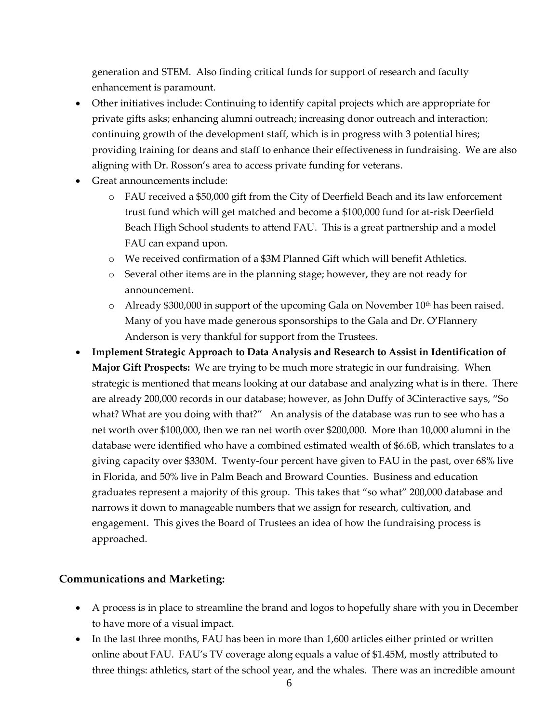generation and STEM. Also finding critical funds for support of research and faculty enhancement is paramount.

- Other initiatives include: Continuing to identify capital projects which are appropriate for private gifts asks; enhancing alumni outreach; increasing donor outreach and interaction; continuing growth of the development staff, which is in progress with 3 potential hires; providing training for deans and staff to enhance their effectiveness in fundraising. We are also aligning with Dr. Rosson's area to access private funding for veterans.
- Great announcements include:
	- o FAU received a \$50,000 gift from the City of Deerfield Beach and its law enforcement trust fund which will get matched and become a \$100,000 fund for at-risk Deerfield Beach High School students to attend FAU. This is a great partnership and a model FAU can expand upon.
	- o We received confirmation of a \$3M Planned Gift which will benefit Athletics.
	- o Several other items are in the planning stage; however, they are not ready for announcement.
	- $\circ$  Already \$300,000 in support of the upcoming Gala on November 10<sup>th</sup> has been raised. Many of you have made generous sponsorships to the Gala and Dr. O'Flannery Anderson is very thankful for support from the Trustees.
- **Implement Strategic Approach to Data Analysis and Research to Assist in Identification of Major Gift Prospects:** We are trying to be much more strategic in our fundraising. When strategic is mentioned that means looking at our database and analyzing what is in there. There are already 200,000 records in our database; however, as John Duffy of 3Cinteractive says, "So what? What are you doing with that?" An analysis of the database was run to see who has a net worth over \$100,000, then we ran net worth over \$200,000. More than 10,000 alumni in the database were identified who have a combined estimated wealth of \$6.6B, which translates to a giving capacity over \$330M. Twenty-four percent have given to FAU in the past, over 68% live in Florida, and 50% live in Palm Beach and Broward Counties. Business and education graduates represent a majority of this group. This takes that "so what" 200,000 database and narrows it down to manageable numbers that we assign for research, cultivation, and engagement. This gives the Board of Trustees an idea of how the fundraising process is approached.

#### **Communications and Marketing:**

- A process is in place to streamline the brand and logos to hopefully share with you in December to have more of a visual impact.
- In the last three months, FAU has been in more than 1,600 articles either printed or written online about FAU. FAU's TV coverage along equals a value of \$1.45M, mostly attributed to three things: athletics, start of the school year, and the whales. There was an incredible amount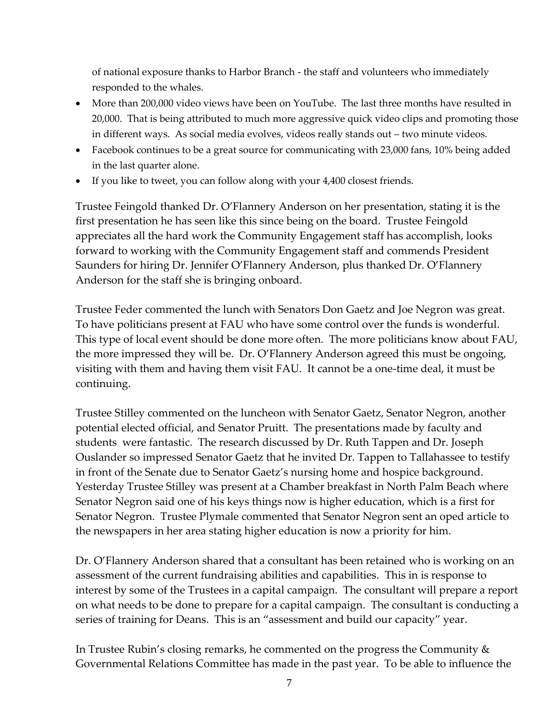of national exposure thanks to Harbor Branch - the staff and volunteers who immediately responded to the whales.

- More than 200,000 video views have been on YouTube. The last three months have resulted in 20,000. That is being attributed to much more aggressive quick video clips and promoting those in different ways. As social media evolves, videos really stands out – two minute videos.
- Facebook continues to be a great source for communicating with 23,000 fans, 10% being added in the last quarter alone.
- If you like to tweet, you can follow along with your 4,400 closest friends.

Trustee Feingold thanked Dr. O'Flannery Anderson on her presentation, stating it is the first presentation he has seen like this since being on the board. Trustee Feingold appreciates all the hard work the Community Engagement staff has accomplish, looks forward to working with the Community Engagement staff and commends President Saunders for hiring Dr. Jennifer O'Flannery Anderson, plus thanked Dr. O'Flannery Anderson for the staff she is bringing onboard.

Trustee Feder commented the lunch with Senators Don Gaetz and Joe Negron was great. To have politicians present at FAU who have some control over the funds is wonderful. This type of local event should be done more often. The more politicians know about FAU, the more impressed they will be. Dr. O'Flannery Anderson agreed this must be ongoing, visiting with them and having them visit FAU. It cannot be a one-time deal, it must be continuing.

Trustee Stilley commented on the luncheon with Senator Gaetz, Senator Negron, another potential elected official, and Senator Pruitt. The presentations made by faculty and students were fantastic. The research discussed by Dr. Ruth Tappen and Dr. Joseph Ouslander so impressed Senator Gaetz that he invited Dr. Tappen to Tallahassee to testify in front of the Senate due to Senator Gaetz's nursing home and hospice background. Yesterday Trustee Stilley was present at a Chamber breakfast in North Palm Beach where Senator Negron said one of his keys things now is higher education, which is a first for Senator Negron. Trustee Plymale commented that Senator Negron sent an oped article to the newspapers in her area stating higher education is now a priority for him.

Dr. O'Flannery Anderson shared that a consultant has been retained who is working on an assessment of the current fundraising abilities and capabilities. This in is response to interest by some of the Trustees in a capital campaign. The consultant will prepare a report on what needs to be done to prepare for a capital campaign. The consultant is conducting a series of training for Deans. This is an "assessment and build our capacity" year.

In Trustee Rubin's closing remarks, he commented on the progress the Community & Governmental Relations Committee has made in the past year. To be able to influence the